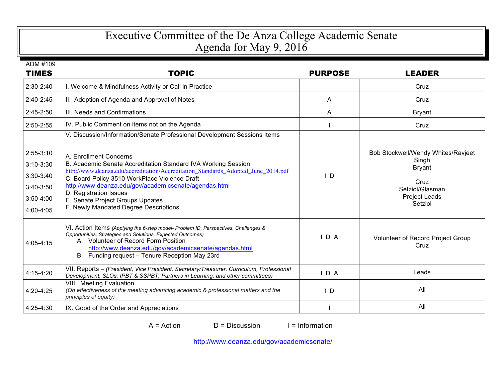## Executive Committee of the De Anza College Academic Senate Agenda for May 9, 2016

| ADM #109     |                                                                                                                                                                                                                                                                                                          |                |                                           |
|--------------|----------------------------------------------------------------------------------------------------------------------------------------------------------------------------------------------------------------------------------------------------------------------------------------------------------|----------------|-------------------------------------------|
| <b>TIMES</b> | <b>TOPIC</b>                                                                                                                                                                                                                                                                                             | <b>PURPOSE</b> | <b>LEADER</b>                             |
| 2:30-2:40    | I. Welcome & Mindfulness Activity or Call in Practice                                                                                                                                                                                                                                                    |                | Cruz                                      |
| $2:40-2:45$  | II. Adoption of Agenda and Approval of Notes                                                                                                                                                                                                                                                             | A              | Cruz                                      |
| 2:45-2:50    | III. Needs and Confirmations                                                                                                                                                                                                                                                                             | A              | <b>Bryant</b>                             |
| 2:50-2:55    | IV. Public Comment on items not on the Agenda                                                                                                                                                                                                                                                            |                | Cruz                                      |
| $2:55-3:10$  | V. Discussion/Information/Senate Professional Development Sessions Items                                                                                                                                                                                                                                 |                | Bob Stockwell/Wendy Whites/Ravjeet        |
| $3:10-3:30$  | A. Enrollment Concerns<br>B. Academic Senate Accreditation Standard IVA Working Session                                                                                                                                                                                                                  |                | Singh<br><b>Bryant</b>                    |
| $3:30-3:40$  | http://www.deanza.edu/accreditation/Accreditation_Standards_Adopted_June_2014.pdf<br>C. Board Policy 3510 WorkPlace Violence Draft                                                                                                                                                                       | $\mathsf{L}$   |                                           |
| $3:40-3:50$  | http://www.deanza.edu/gov/academicsenate/agendas.html                                                                                                                                                                                                                                                    |                | Cruz<br>Setziol/Glasman                   |
| $3:50-4:00$  | D. Registration Issues<br>E. Senate Project Groups Updates                                                                                                                                                                                                                                               |                | Project Leads<br>Setziol                  |
| 4:00-4:05    | F. Newly Mandated Degree Descriptions                                                                                                                                                                                                                                                                    |                |                                           |
| 4:05-4:15    | VI. Action Items (Applying the 6-step model- Problem ID, Perspectives, Challenges &<br>Opportunities, Strategies and Solutions, Expected Outcomes)<br>A. Volunteer of Record Form Position<br>http://www.deanza.edu/gov/academicsenate/agendas.html<br>Funding request - Tenure Reception May 23rd<br>В. | D A            | Volunteer of Record Project Group<br>Cruz |
| $4:15-4:20$  | VII. Reports - (President, Vice President, Secretary/Treasurer, Curriculum, Professional<br>Development, SLOs, IPBT & SSPBT, Partners in Learning, and other committees)                                                                                                                                 | IDA            | Leads                                     |
| 4:20-4:25    | VIII. Meeting Evaluation<br>(On effectiveness of the meeting advancing academic & professional matters and the<br>principles of equity)                                                                                                                                                                  | $\mathsf{I}$ D | All                                       |
| 4:25-4:30    | IX. Good of the Order and Appreciations                                                                                                                                                                                                                                                                  |                | All                                       |

 $A = Action$  D = Discussion I = Information

http://www.deanza.edu/gov/academicsenate/